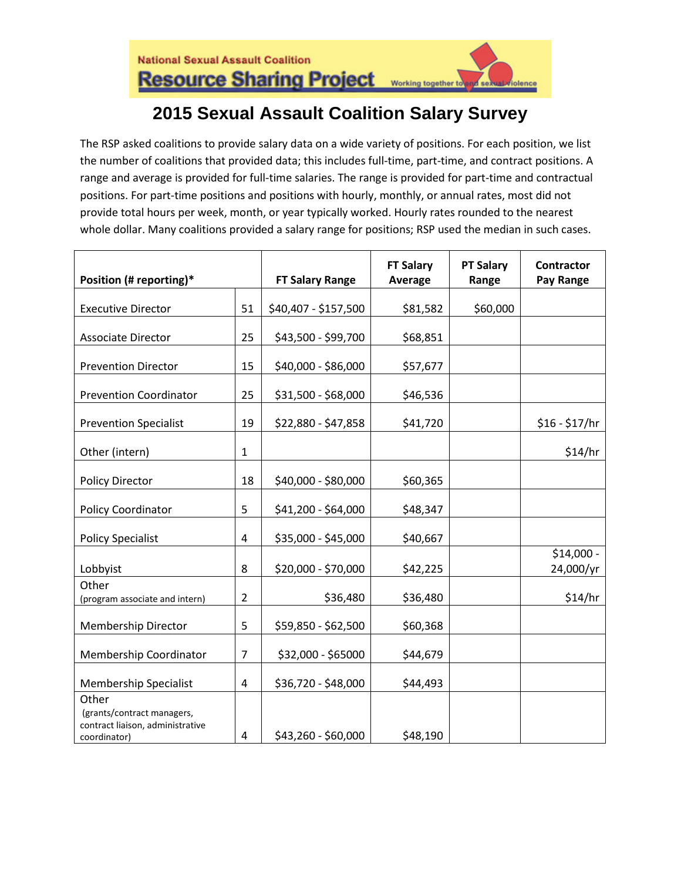## **2015 Sexual Assault Coalition Salary Survey**

The RSP asked coalitions to provide salary data on a wide variety of positions. For each position, we list the number of coalitions that provided data; this includes full-time, part-time, and contract positions. A range and average is provided for full-time salaries. The range is provided for part-time and contractual positions. For part-time positions and positions with hourly, monthly, or annual rates, most did not provide total hours per week, month, or year typically worked. Hourly rates rounded to the nearest whole dollar. Many coalitions provided a salary range for positions; RSP used the median in such cases.

| Position (# reporting)*                                                        |                | <b>FT Salary Range</b> | <b>FT Salary</b><br>Average | <b>PT Salary</b><br>Range | <b>Contractor</b><br>Pay Range |
|--------------------------------------------------------------------------------|----------------|------------------------|-----------------------------|---------------------------|--------------------------------|
| <b>Executive Director</b>                                                      | 51             | \$40,407 - \$157,500   | \$81,582                    | \$60,000                  |                                |
|                                                                                |                |                        |                             |                           |                                |
| <b>Associate Director</b>                                                      | 25             | \$43,500 - \$99,700    | \$68,851                    |                           |                                |
| <b>Prevention Director</b>                                                     | 15             | \$40,000 - \$86,000    | \$57,677                    |                           |                                |
| <b>Prevention Coordinator</b>                                                  | 25             | \$31,500 - \$68,000    | \$46,536                    |                           |                                |
| <b>Prevention Specialist</b>                                                   | 19             | \$22,880 - \$47,858    | \$41,720                    |                           | $$16 - $17/hr$                 |
| Other (intern)                                                                 | $\mathbf{1}$   |                        |                             |                           | \$14/hr                        |
| <b>Policy Director</b>                                                         | 18             | \$40,000 - \$80,000    | \$60,365                    |                           |                                |
| Policy Coordinator                                                             | 5              | \$41,200 - \$64,000    | \$48,347                    |                           |                                |
| <b>Policy Specialist</b>                                                       | 4              | \$35,000 - \$45,000    | \$40,667                    |                           |                                |
| Lobbyist                                                                       | 8              | \$20,000 - \$70,000    | \$42,225                    |                           | $$14,000 -$<br>24,000/yr       |
| Other<br>(program associate and intern)                                        | $\overline{2}$ | \$36,480               | \$36,480                    |                           | \$14/hr                        |
| Membership Director                                                            | 5              | \$59,850 - \$62,500    | \$60,368                    |                           |                                |
| Membership Coordinator                                                         | $\overline{7}$ | \$32,000 - \$65000     | \$44,679                    |                           |                                |
| Membership Specialist                                                          | 4              | \$36,720 - \$48,000    | \$44,493                    |                           |                                |
| Other                                                                          |                |                        |                             |                           |                                |
| (grants/contract managers,<br>contract liaison, administrative<br>coordinator) | 4              | \$43,260 - \$60,000    | \$48,190                    |                           |                                |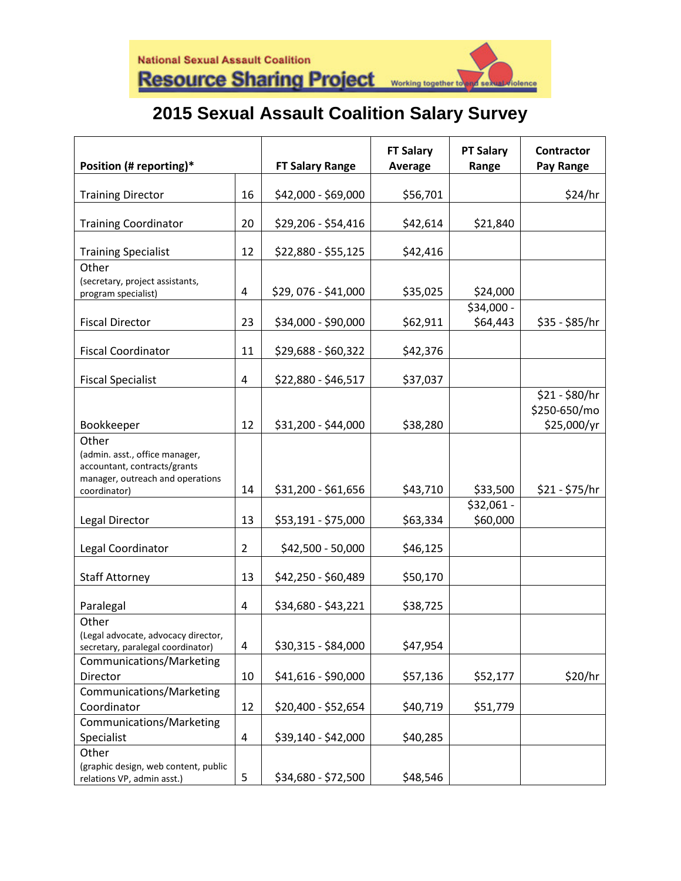## **2015 Sexual Assault Coalition Salary Survey**

| Position (# reporting)*                                                                                                     |                | <b>FT Salary Range</b> | <b>FT Salary</b><br><b>Average</b> | <b>PT Salary</b><br>Range | <b>Contractor</b><br>Pay Range |
|-----------------------------------------------------------------------------------------------------------------------------|----------------|------------------------|------------------------------------|---------------------------|--------------------------------|
|                                                                                                                             |                |                        |                                    |                           |                                |
| <b>Training Director</b>                                                                                                    | 16             | \$42,000 - \$69,000    | \$56,701                           |                           | \$24/hr                        |
| <b>Training Coordinator</b>                                                                                                 | 20             | \$29,206 - \$54,416    | \$42,614                           | \$21,840                  |                                |
| <b>Training Specialist</b>                                                                                                  | 12             | \$22,880 - \$55,125    | \$42,416                           |                           |                                |
| Other<br>(secretary, project assistants,<br>program specialist)                                                             | 4              | \$29,076 - \$41,000    | \$35,025                           | \$24,000                  |                                |
|                                                                                                                             |                |                        |                                    | $$34,000 -$               |                                |
| <b>Fiscal Director</b>                                                                                                      | 23             | \$34,000 - \$90,000    | \$62,911                           | \$64,443                  | $$35 - $85/hr$                 |
| <b>Fiscal Coordinator</b>                                                                                                   | 11             | \$29,688 - \$60,322    | \$42,376                           |                           |                                |
| <b>Fiscal Specialist</b>                                                                                                    | 4              | \$22,880 - \$46,517    | \$37,037                           |                           |                                |
|                                                                                                                             |                |                        |                                    |                           | \$21 - \$80/hr<br>\$250-650/mo |
| Bookkeeper                                                                                                                  | 12             | \$31,200 - \$44,000    | \$38,280                           |                           | \$25,000/yr                    |
| Other<br>(admin. asst., office manager,<br>accountant, contracts/grants<br>manager, outreach and operations<br>coordinator) | 14             | \$31,200 - \$61,656    | \$43,710                           | \$33,500                  | $$21 - $75/hr$                 |
|                                                                                                                             |                |                        |                                    | $$32,061 -$               |                                |
| Legal Director                                                                                                              | 13             | \$53,191 - \$75,000    | \$63,334                           | \$60,000                  |                                |
| Legal Coordinator                                                                                                           | $\overline{2}$ | \$42,500 - 50,000      | \$46,125                           |                           |                                |
| <b>Staff Attorney</b>                                                                                                       | 13             | \$42,250 - \$60,489    | \$50,170                           |                           |                                |
| Paralegal                                                                                                                   | 4              | \$34,680 - \$43,221    | \$38,725                           |                           |                                |
| Other<br>(Legal advocate, advocacy director,<br>secretary, paralegal coordinator)                                           | 4              | \$30,315 - \$84,000    | \$47,954                           |                           |                                |
| Communications/Marketing<br>Director                                                                                        | 10             | \$41,616 - \$90,000    | \$57,136                           | \$52,177                  | \$20/hr                        |
| Communications/Marketing                                                                                                    |                |                        |                                    |                           |                                |
| Coordinator                                                                                                                 | 12             | \$20,400 - \$52,654    | \$40,719                           | \$51,779                  |                                |
| Communications/Marketing                                                                                                    |                |                        |                                    |                           |                                |
| Specialist                                                                                                                  | 4              | \$39,140 - \$42,000    | \$40,285                           |                           |                                |
| Other<br>(graphic design, web content, public<br>relations VP, admin asst.)                                                 | 5              | \$34,680 - \$72,500    | \$48,546                           |                           |                                |